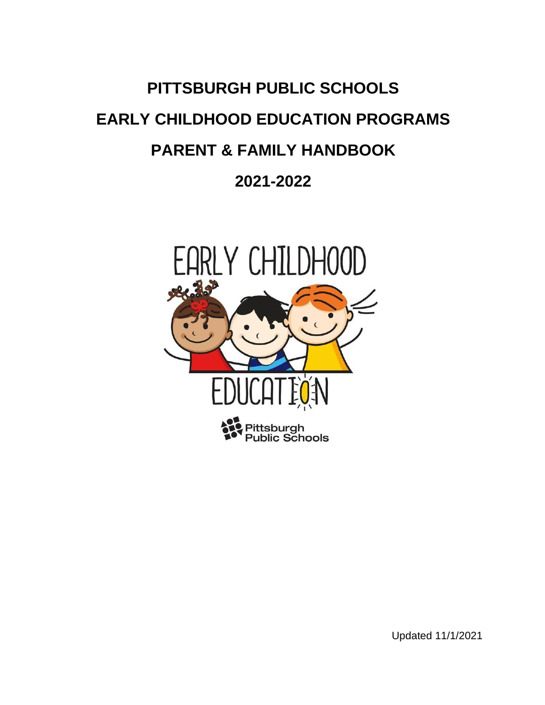# **PITTSBURGH PUBLIC SCHOOLS EARLY CHILDHOOD EDUCATION PROGRAMS PARENT & FAMILY HANDBOOK 2021-2022**



Updated 11/1/2021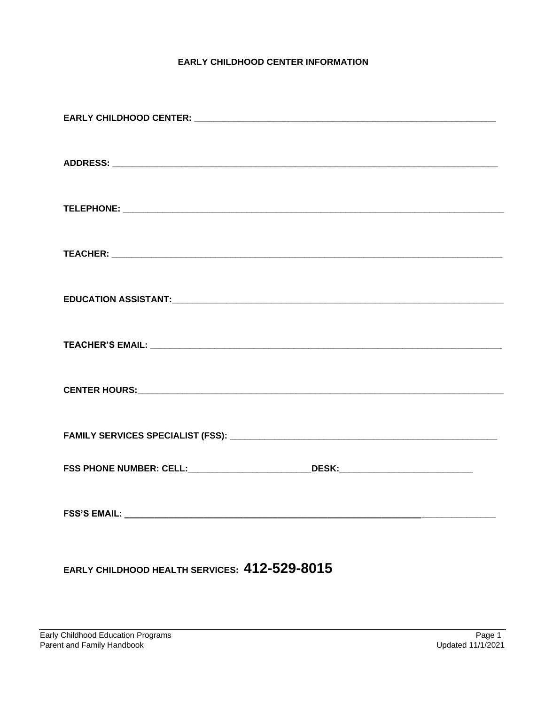# **EARLY CHILDHOOD CENTER INFORMATION**

| FSS PHONE NUMBER: CELL:______________________________DESK:______________________ |
|----------------------------------------------------------------------------------|
|                                                                                  |

EARLY CHILDHOOD HEALTH SERVICES: 412-529-8015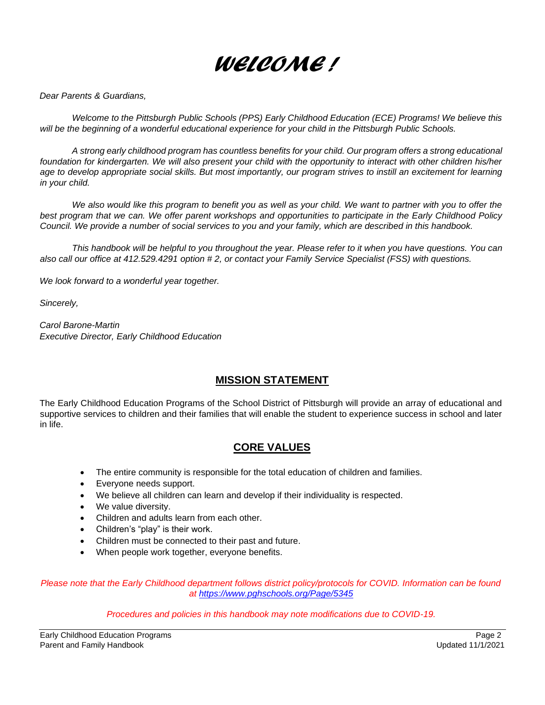

*Dear Parents & Guardians,* 

*Welcome to the Pittsburgh Public Schools (PPS) Early Childhood Education (ECE) Programs! We believe this*  will be the beginning of a wonderful educational experience for your child in the Pittsburgh Public Schools.

*A strong early childhood program has countless benefits for your child. Our program offers a strong educational*  foundation for kindergarten. We will also present your child with the opportunity to interact with other children his/her age to develop appropriate social skills. But most importantly, our program strives to instill an excitement for learning *in your child.* 

*We also would like this program to benefit you as well as your child. We want to partner with you to offer the best program that we can. We offer parent workshops and opportunities to participate in the Early Childhood Policy Council. We provide a number of social services to you and your family, which are described in this handbook.* 

*This handbook will be helpful to you throughout the year. Please refer to it when you have questions. You can also call our office at 412.529.4291 option # 2, or contact your Family Service Specialist (FSS) with questions.*

*We look forward to a wonderful year together.* 

*Sincerely,* 

*Carol Barone-Martin Executive Director, Early Childhood Education* 

# **MISSION STATEMENT**

The Early Childhood Education Programs of the School District of Pittsburgh will provide an array of educational and supportive services to children and their families that will enable the student to experience success in school and later in life.

# **CORE VALUES**

- The entire community is responsible for the total education of children and families.
- Everyone needs support.
- We believe all children can learn and develop if their individuality is respected.
- We value diversity.
- Children and adults learn from each other.
- Children's "play" is their work.
- Children must be connected to their past and future.
- When people work together, everyone benefits.

*Please note that the Early Childhood department follows district policy/protocols for COVID. Information can be found at https://www.pghschools.org/Page/5345*

*Procedures and policies in this handbook may note modifications due to COVID-19.*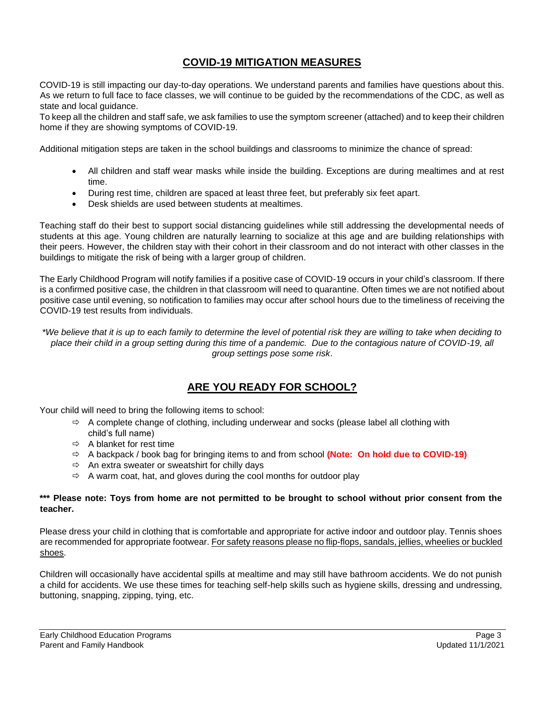# **COVID-19 MITIGATION MEASURES**

COVID-19 is still impacting our day-to-day operations. We understand parents and families have questions about this. As we return to full face to face classes, we will continue to be guided by the recommendations of the CDC, as well as state and local guidance.

To keep all the children and staff safe, we ask families to use the symptom screener (attached) and to keep their children home if they are showing symptoms of COVID-19.

Additional mitigation steps are taken in the school buildings and classrooms to minimize the chance of spread:

- All children and staff wear masks while inside the building. Exceptions are during mealtimes and at rest time.
- During rest time, children are spaced at least three feet, but preferably six feet apart.
- Desk shields are used between students at mealtimes.

Teaching staff do their best to support social distancing guidelines while still addressing the developmental needs of students at this age. Young children are naturally learning to socialize at this age and are building relationships with their peers. However, the children stay with their cohort in their classroom and do not interact with other classes in the buildings to mitigate the risk of being with a larger group of children.

The Early Childhood Program will notify families if a positive case of COVID-19 occurs in your child's classroom. If there is a confirmed positive case, the children in that classroom will need to quarantine. Often times we are not notified about positive case until evening, so notification to families may occur after school hours due to the timeliness of receiving the COVID-19 test results from individuals.

*\*We believe that it is up to each family to determine the level of potential risk they are willing to take when deciding to place their child in a group setting during this time of a pandemic. Due to the contagious nature of COVID-19, all group settings pose some risk*.

# **ARE YOU READY FOR SCHOOL?**

Your child will need to bring the following items to school:

- $\Rightarrow$  A complete change of clothing, including underwear and socks (please label all clothing with child's full name)
- $\Rightarrow$  A blanket for rest time
- A backpack / book bag for bringing items to and from school **(Note: On hold due to COVID-19)**
- $\Rightarrow$  An extra sweater or sweatshirt for chilly days
- $\Rightarrow$  A warm coat, hat, and gloves during the cool months for outdoor play

#### **\*\*\* Please note: Toys from home are not permitted to be brought to school without prior consent from the teacher.**

Please dress your child in clothing that is comfortable and appropriate for active indoor and outdoor play. Tennis shoes are recommended for appropriate footwear. For safety reasons please no flip-flops, sandals, jellies, wheelies or buckled shoes.

Children will occasionally have accidental spills at mealtime and may still have bathroom accidents. We do not punish a child for accidents. We use these times for teaching self-help skills such as hygiene skills, dressing and undressing, buttoning, snapping, zipping, tying, etc.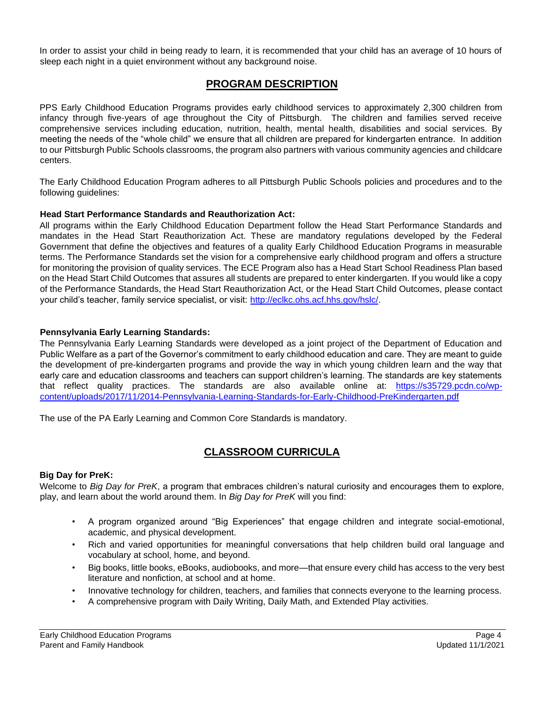In order to assist your child in being ready to learn, it is recommended that your child has an average of 10 hours of sleep each night in a quiet environment without any background noise.

# **PROGRAM DESCRIPTION**

PPS Early Childhood Education Programs provides early childhood services to approximately 2,300 children from infancy through five-years of age throughout the City of Pittsburgh. The children and families served receive comprehensive services including education, nutrition, health, mental health, disabilities and social services. By meeting the needs of the "whole child" we ensure that all children are prepared for kindergarten entrance. In addition to our Pittsburgh Public Schools classrooms, the program also partners with various community agencies and childcare centers.

The Early Childhood Education Program adheres to all Pittsburgh Public Schools policies and procedures and to the following guidelines:

#### **Head Start Performance Standards and Reauthorization Act:**

All programs within the Early Childhood Education Department follow the Head Start Performance Standards and mandates in the Head Start Reauthorization Act. These are mandatory regulations developed by the Federal Government that define the objectives and features of a quality Early Childhood Education Programs in measurable terms. The Performance Standards set the vision for a comprehensive early childhood program and offers a structure for monitoring the provision of quality services. The ECE Program also has a Head Start School Readiness Plan based on the Head Start Child Outcomes that assures all students are prepared to enter kindergarten. If you would like a copy of the Performance Standards, the Head Start Reauthorization Act, or the Head Start Child Outcomes, please contact your child's teacher, family service specialist, or visit: http://eclkc.ohs.acf.hhs.gov/hslc/.

#### **Pennsylvania Early Learning Standards:**

The Pennsylvania Early Learning Standards were developed as a joint project of the Department of Education and Public Welfare as a part of the Governor's commitment to early childhood education and care. They are meant to guide the development of pre-kindergarten programs and provide the way in which young children learn and the way that early care and education classrooms and teachers can support children's learning. The standards are key statements that reflect quality practices. The standards are also available online at: https://s35729.pcdn.co/wpcontent/uploads/2017/11/2014-Pennsylvania-Learning-Standards-for-Early-Childhood-PreKindergarten.pdf

The use of the PA Early Learning and Common Core Standards is mandatory.

# **CLASSROOM CURRICULA**

#### **Big Day for PreK:**

Welcome to *Big Day for PreK*, a program that embraces children's natural curiosity and encourages them to explore, play, and learn about the world around them. In *Big Day for PreK* will you find:

- A program organized around "Big Experiences" that engage children and integrate social-emotional, academic, and physical development.
- Rich and varied opportunities for meaningful conversations that help children build oral language and vocabulary at school, home, and beyond.
- Big books, little books, eBooks, audiobooks, and more—that ensure every child has access to the very best literature and nonfiction, at school and at home.
- Innovative technology for children, teachers, and families that connects everyone to the learning process.
- A comprehensive program with Daily Writing, Daily Math, and Extended Play activities.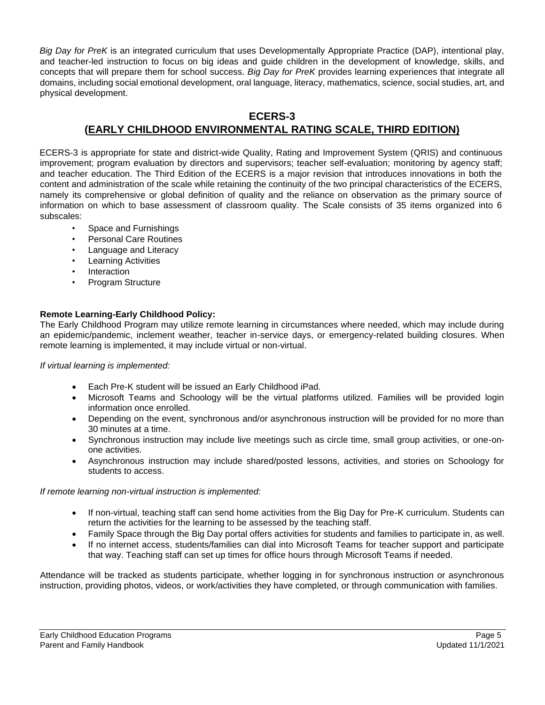*Big Day for PreK* is an integrated curriculum that uses Developmentally Appropriate Practice (DAP), intentional play, and teacher-led instruction to focus on big ideas and guide children in the development of knowledge, skills, and concepts that will prepare them for school success. *Big Day for PreK* provides learning experiences that integrate all domains, including social emotional development, oral language, literacy, mathematics, science, social studies, art, and physical development.

# **ECERS-3 (EARLY CHILDHOOD ENVIRONMENTAL RATING SCALE, THIRD EDITION)**

ECERS-3 is appropriate for state and district-wide Quality, Rating and Improvement System (QRIS) and continuous improvement; program evaluation by directors and supervisors; teacher self-evaluation; monitoring by agency staff; and teacher education. The Third Edition of the ECERS is a major revision that introduces innovations in both the content and administration of the scale while retaining the continuity of the two principal characteristics of the ECERS, namely its comprehensive or global definition of quality and the reliance on observation as the primary source of information on which to base assessment of classroom quality. The Scale consists of 35 items organized into 6 subscales:

- Space and Furnishings
- Personal Care Routines
- Language and Literacy
- Learning Activities
- **Interaction**
- Program Structure

#### **Remote Learning-Early Childhood Policy:**

The Early Childhood Program may utilize remote learning in circumstances where needed, which may include during an epidemic/pandemic, inclement weather, teacher in-service days, or emergency-related building closures. When remote learning is implemented, it may include virtual or non-virtual.

*If virtual learning is implemented:*

- Each Pre-K student will be issued an Early Childhood iPad.
- Microsoft Teams and Schoology will be the virtual platforms utilized. Families will be provided login information once enrolled.
- Depending on the event, synchronous and/or asynchronous instruction will be provided for no more than 30 minutes at a time.
- Synchronous instruction may include live meetings such as circle time, small group activities, or one-onone activities.
- Asynchronous instruction may include shared/posted lessons, activities, and stories on Schoology for students to access.

*If remote learning non-virtual instruction is implemented:*

- If non-virtual, teaching staff can send home activities from the Big Day for Pre-K curriculum. Students can return the activities for the learning to be assessed by the teaching staff.
- Family Space through the Big Day portal offers activities for students and families to participate in, as well.
- If no internet access, students/families can dial into Microsoft Teams for teacher support and participate that way. Teaching staff can set up times for office hours through Microsoft Teams if needed.

Attendance will be tracked as students participate, whether logging in for synchronous instruction or asynchronous instruction, providing photos, videos, or work/activities they have completed, or through communication with families.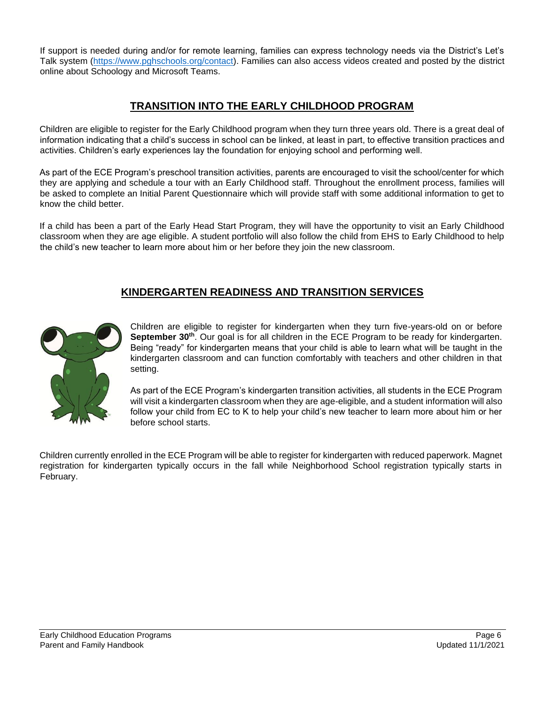If support is needed during and/or for remote learning, families can express technology needs via the District's Let's Talk system (https://www.pghschools.org/contact). Families can also access videos created and posted by the district online about Schoology and Microsoft Teams.

# **TRANSITION INTO THE EARLY CHILDHOOD PROGRAM**

Children are eligible to register for the Early Childhood program when they turn three years old. There is a great deal of information indicating that a child's success in school can be linked, at least in part, to effective transition practices and activities. Children's early experiences lay the foundation for enjoying school and performing well.

As part of the ECE Program's preschool transition activities, parents are encouraged to visit the school/center for which they are applying and schedule a tour with an Early Childhood staff. Throughout the enrollment process, families will be asked to complete an Initial Parent Questionnaire which will provide staff with some additional information to get to know the child better.

If a child has been a part of the Early Head Start Program, they will have the opportunity to visit an Early Childhood classroom when they are age eligible. A student portfolio will also follow the child from EHS to Early Childhood to help the child's new teacher to learn more about him or her before they join the new classroom.

# **KINDERGARTEN READINESS AND TRANSITION SERVICES**



Children are eligible to register for kindergarten when they turn five-years-old on or before **September 30th**. Our goal is for all children in the ECE Program to be ready for kindergarten. Being "ready" for kindergarten means that your child is able to learn what will be taught in the kindergarten classroom and can function comfortably with teachers and other children in that setting.

As part of the ECE Program's kindergarten transition activities, all students in the ECE Program will visit a kindergarten classroom when they are age-eligible, and a student information will also follow your child from EC to K to help your child's new teacher to learn more about him or her before school starts.

Children currently enrolled in the ECE Program will be able to register for kindergarten with reduced paperwork. Magnet registration for kindergarten typically occurs in the fall while Neighborhood School registration typically starts in February.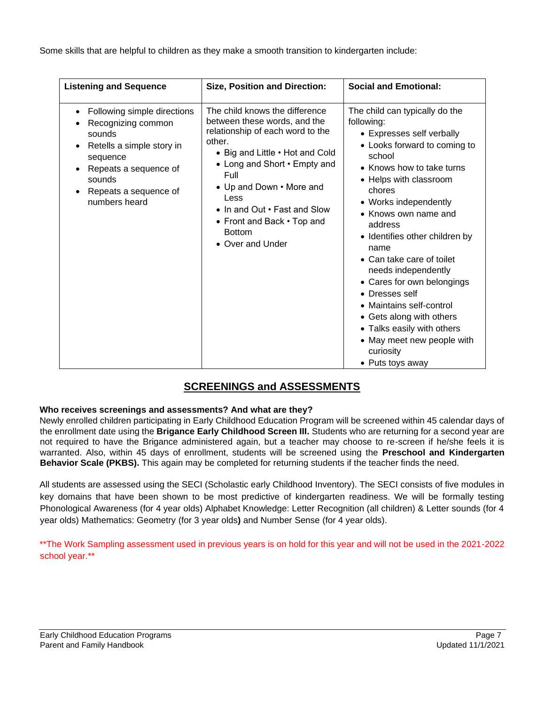Some skills that are helpful to children as they make a smooth transition to kindergarten include:

| <b>Listening and Sequence</b>                                                                                                                                                                                                         | <b>Size, Position and Direction:</b>                                                                                                                                                                                                                                                                                           | <b>Social and Emotional:</b>                                                                                                                                                                                                                                                                                                                                                                                                                                                                                                                        |
|---------------------------------------------------------------------------------------------------------------------------------------------------------------------------------------------------------------------------------------|--------------------------------------------------------------------------------------------------------------------------------------------------------------------------------------------------------------------------------------------------------------------------------------------------------------------------------|-----------------------------------------------------------------------------------------------------------------------------------------------------------------------------------------------------------------------------------------------------------------------------------------------------------------------------------------------------------------------------------------------------------------------------------------------------------------------------------------------------------------------------------------------------|
| Following simple directions<br>$\bullet$<br>Recognizing common<br>sounds<br>Retells a simple story in<br>$\bullet$<br>sequence<br>Repeats a sequence of<br>$\bullet$<br>sounds<br>Repeats a sequence of<br>$\bullet$<br>numbers heard | The child knows the difference<br>between these words, and the<br>relationship of each word to the<br>other.<br>• Big and Little • Hot and Cold<br>• Long and Short • Empty and<br>Full<br>• Up and Down • More and<br>Less<br>• In and Out • Fast and Slow<br>• Front and Back • Top and<br><b>Bottom</b><br>• Over and Under | The child can typically do the<br>following:<br>• Expresses self verbally<br>• Looks forward to coming to<br>school<br>• Knows how to take turns<br>• Helps with classroom<br>chores<br>• Works independently<br>• Knows own name and<br>address<br>• Identifies other children by<br>name<br>• Can take care of toilet<br>needs independently<br>• Cares for own belongings<br>• Dresses self<br>• Maintains self-control<br>• Gets along with others<br>• Talks easily with others<br>• May meet new people with<br>curiosity<br>• Puts toys away |

# **SCREENINGS and ASSESSMENTS**

# **Who receives screenings and assessments? And what are they?**

Newly enrolled children participating in Early Childhood Education Program will be screened within 45 calendar days of the enrollment date using the **Brigance Early Childhood Screen III.** Students who are returning for a second year are not required to have the Brigance administered again, but a teacher may choose to re-screen if he/she feels it is warranted. Also, within 45 days of enrollment, students will be screened using the **Preschool and Kindergarten Behavior Scale (PKBS).** This again may be completed for returning students if the teacher finds the need.

All students are assessed using the SECI (Scholastic early Childhood Inventory). The SECI consists of five modules in key domains that have been shown to be most predictive of kindergarten readiness. We will be formally testing Phonological Awareness (for 4 year olds) Alphabet Knowledge: Letter Recognition (all children) & Letter sounds (for 4 year olds) Mathematics: Geometry (for 3 year olds**)** and Number Sense (for 4 year olds).

\*\*The Work Sampling assessment used in previous years is on hold for this year and will not be used in the 2021-2022 school year.\*\*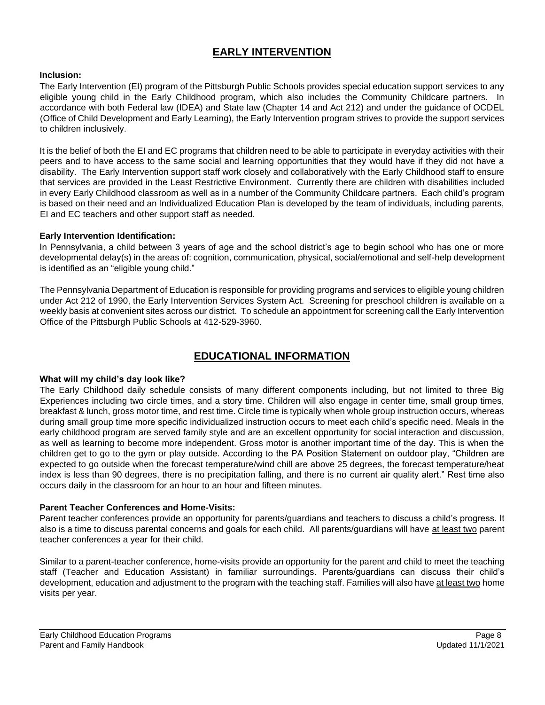# **EARLY INTERVENTION**

#### **Inclusion:**

The Early Intervention (EI) program of the Pittsburgh Public Schools provides special education support services to any eligible young child in the Early Childhood program, which also includes the Community Childcare partners. In accordance with both Federal law (IDEA) and State law (Chapter 14 and Act 212) and under the guidance of OCDEL (Office of Child Development and Early Learning), the Early Intervention program strives to provide the support services to children inclusively.

It is the belief of both the EI and EC programs that children need to be able to participate in everyday activities with their peers and to have access to the same social and learning opportunities that they would have if they did not have a disability. The Early Intervention support staff work closely and collaboratively with the Early Childhood staff to ensure that services are provided in the Least Restrictive Environment. Currently there are children with disabilities included in every Early Childhood classroom as well as in a number of the Community Childcare partners. Each child's program is based on their need and an Individualized Education Plan is developed by the team of individuals, including parents, EI and EC teachers and other support staff as needed.

#### **Early Intervention Identification:**

In Pennsylvania, a child between 3 years of age and the school district's age to begin school who has one or more developmental delay(s) in the areas of: cognition, communication, physical, social/emotional and self-help development is identified as an "eligible young child."

The Pennsylvania Department of Education is responsible for providing programs and services to eligible young children under Act 212 of 1990, the Early Intervention Services System Act. Screening for preschool children is available on a weekly basis at convenient sites across our district. To schedule an appointment for screening call the Early Intervention Office of the Pittsburgh Public Schools at 412-529-3960.

# **EDUCATIONAL INFORMATION**

#### **What will my child's day look like?**

The Early Childhood daily schedule consists of many different components including, but not limited to three Big Experiences including two circle times, and a story time. Children will also engage in center time, small group times, breakfast & lunch, gross motor time, and rest time. Circle time is typically when whole group instruction occurs, whereas during small group time more specific individualized instruction occurs to meet each child's specific need. Meals in the early childhood program are served family style and are an excellent opportunity for social interaction and discussion, as well as learning to become more independent. Gross motor is another important time of the day. This is when the children get to go to the gym or play outside. According to the PA Position Statement on outdoor play, "Children are expected to go outside when the forecast temperature/wind chill are above 25 degrees, the forecast temperature/heat index is less than 90 degrees, there is no precipitation falling, and there is no current air quality alert." Rest time also occurs daily in the classroom for an hour to an hour and fifteen minutes.

#### **Parent Teacher Conferences and Home-Visits:**

Parent teacher conferences provide an opportunity for parents/guardians and teachers to discuss a child's progress. It also is a time to discuss parental concerns and goals for each child. All parents/guardians will have at least two parent teacher conferences a year for their child.

Similar to a parent-teacher conference, home-visits provide an opportunity for the parent and child to meet the teaching staff (Teacher and Education Assistant) in familiar surroundings. Parents/guardians can discuss their child's development, education and adjustment to the program with the teaching staff. Families will also have at least two home visits per year.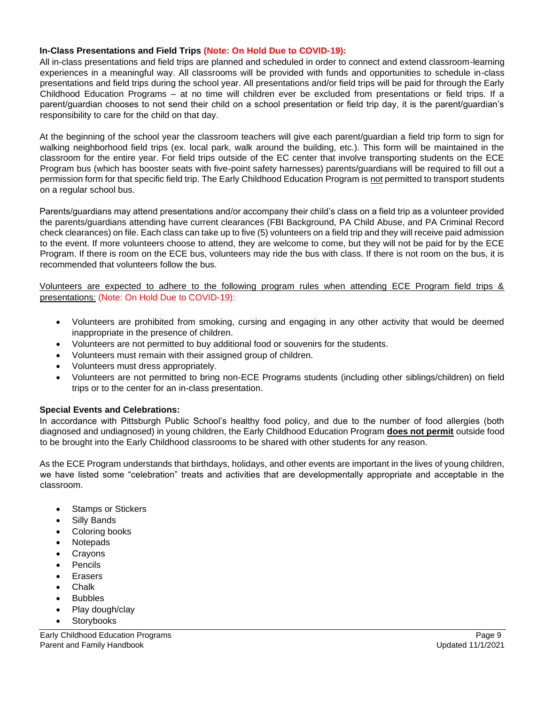#### **In-Class Presentations and Field Trips (Note: On Hold Due to COVID-19):**

All in-class presentations and field trips are planned and scheduled in order to connect and extend classroom-learning experiences in a meaningful way. All classrooms will be provided with funds and opportunities to schedule in-class presentations and field trips during the school year. All presentations and/or field trips will be paid for through the Early Childhood Education Programs – at no time will children ever be excluded from presentations or field trips. If a parent/guardian chooses to not send their child on a school presentation or field trip day, it is the parent/guardian's responsibility to care for the child on that day.

At the beginning of the school year the classroom teachers will give each parent/guardian a field trip form to sign for walking neighborhood field trips (ex. local park, walk around the building, etc.). This form will be maintained in the classroom for the entire year. For field trips outside of the EC center that involve transporting students on the ECE Program bus (which has booster seats with five-point safety harnesses) parents/guardians will be required to fill out a permission form for that specific field trip. The Early Childhood Education Program is not permitted to transport students on a regular school bus.

Parents/guardians may attend presentations and/or accompany their child's class on a field trip as a volunteer provided the parents/guardians attending have current clearances (FBI Background, PA Child Abuse, and PA Criminal Record check clearances) on file. Each class can take up to five (5) volunteers on a field trip and they will receive paid admission to the event. If more volunteers choose to attend, they are welcome to come, but they will not be paid for by the ECE Program. If there is room on the ECE bus, volunteers may ride the bus with class. If there is not room on the bus, it is recommended that volunteers follow the bus.

Volunteers are expected to adhere to the following program rules when attending ECE Program field trips & presentations: (Note: On Hold Due to COVID-19):

- Volunteers are prohibited from smoking, cursing and engaging in any other activity that would be deemed inappropriate in the presence of children.
- Volunteers are not permitted to buy additional food or souvenirs for the students.
- Volunteers must remain with their assigned group of children.
- Volunteers must dress appropriately.
- Volunteers are not permitted to bring non-ECE Programs students (including other siblings/children) on field trips or to the center for an in-class presentation.

#### **Special Events and Celebrations:**

In accordance with Pittsburgh Public School's healthy food policy, and due to the number of food allergies (both diagnosed and undiagnosed) in young children, the Early Childhood Education Program **does not permit** outside food to be brought into the Early Childhood classrooms to be shared with other students for any reason.

As the ECE Program understands that birthdays, holidays, and other events are important in the lives of young children, we have listed some "celebration" treats and activities that are developmentally appropriate and acceptable in the classroom.

- Stamps or Stickers
- Silly Bands
- Coloring books
- Notepads
- **Crayons**
- **Pencils**
- **Erasers**
- Chalk
- **Bubbles**
- Play dough/clay
- **Storybooks**

Early Childhood Education Programs Page 9 Parent and Family Handbook Updated 11/1/2021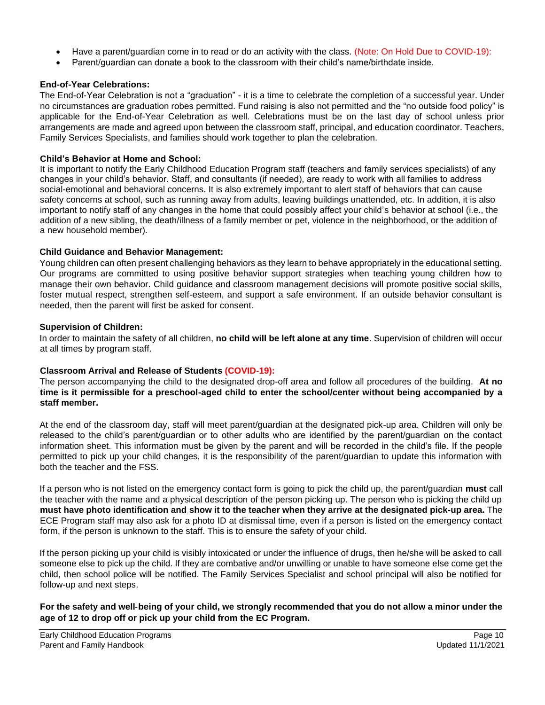- Have a parent/guardian come in to read or do an activity with the class. (Note: On Hold Due to COVID-19):
- Parent/guardian can donate a book to the classroom with their child's name/birthdate inside.

#### **End-of-Year Celebrations:**

The End-of-Year Celebration is not a "graduation" - it is a time to celebrate the completion of a successful year. Under no circumstances are graduation robes permitted. Fund raising is also not permitted and the "no outside food policy" is applicable for the End-of-Year Celebration as well. Celebrations must be on the last day of school unless prior arrangements are made and agreed upon between the classroom staff, principal, and education coordinator. Teachers, Family Services Specialists, and families should work together to plan the celebration.

#### **Child's Behavior at Home and School:**

It is important to notify the Early Childhood Education Program staff (teachers and family services specialists) of any changes in your child's behavior. Staff, and consultants (if needed), are ready to work with all families to address social-emotional and behavioral concerns. It is also extremely important to alert staff of behaviors that can cause safety concerns at school, such as running away from adults, leaving buildings unattended, etc. In addition, it is also important to notify staff of any changes in the home that could possibly affect your child's behavior at school (i.e., the addition of a new sibling, the death/illness of a family member or pet, violence in the neighborhood, or the addition of a new household member).

#### **Child Guidance and Behavior Management:**

Young children can often present challenging behaviors as they learn to behave appropriately in the educational setting. Our programs are committed to using positive behavior support strategies when teaching young children how to manage their own behavior. Child guidance and classroom management decisions will promote positive social skills, foster mutual respect, strengthen self-esteem, and support a safe environment. If an outside behavior consultant is needed, then the parent will first be asked for consent.

#### **Supervision of Children:**

In order to maintain the safety of all children, **no child will be left alone at any time**. Supervision of children will occur at all times by program staff.

#### **Classroom Arrival and Release of Students (COVID-19):**

The person accompanying the child to the designated drop-off area and follow all procedures of the building. **At no time is it permissible for a preschool-aged child to enter the school/center without being accompanied by a staff member.** 

At the end of the classroom day, staff will meet parent/guardian at the designated pick-up area. Children will only be released to the child's parent/guardian or to other adults who are identified by the parent/guardian on the contact information sheet. This information must be given by the parent and will be recorded in the child's file. If the people permitted to pick up your child changes, it is the responsibility of the parent/guardian to update this information with both the teacher and the FSS.

If a person who is not listed on the emergency contact form is going to pick the child up, the parent/guardian **must** call the teacher with the name and a physical description of the person picking up. The person who is picking the child up **must have photo identification and show it to the teacher when they arrive at the designated pick-up area.** The ECE Program staff may also ask for a photo ID at dismissal time, even if a person is listed on the emergency contact form, if the person is unknown to the staff. This is to ensure the safety of your child.

If the person picking up your child is visibly intoxicated or under the influence of drugs, then he/she will be asked to call someone else to pick up the child. If they are combative and/or unwilling or unable to have someone else come get the child, then school police will be notified. The Family Services Specialist and school principal will also be notified for follow-up and next steps.

**For the safety and well**‐**being of your child, we strongly recommended that you do not allow a minor under the age of 12 to drop off or pick up your child from the EC Program.**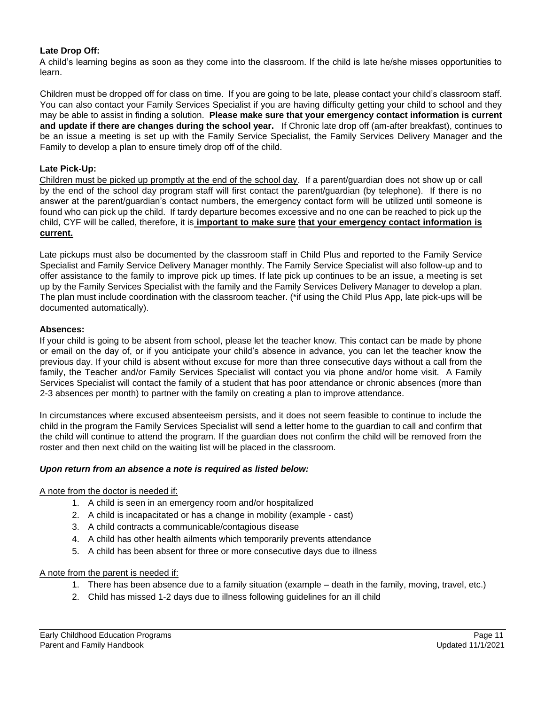#### **Late Drop Off:**

A child's learning begins as soon as they come into the classroom. If the child is late he/she misses opportunities to learn.

Children must be dropped off for class on time. If you are going to be late, please contact your child's classroom staff. You can also contact your Family Services Specialist if you are having difficulty getting your child to school and they may be able to assist in finding a solution. **Please make sure that your emergency contact information is current and update if there are changes during the school year.** If Chronic late drop off (am-after breakfast), continues to be an issue a meeting is set up with the Family Service Specialist, the Family Services Delivery Manager and the Family to develop a plan to ensure timely drop off of the child.

#### **Late Pick-Up:**

Children must be picked up promptly at the end of the school day. If a parent/guardian does not show up or call by the end of the school day program staff will first contact the parent/guardian (by telephone). If there is no answer at the parent/guardian's contact numbers, the emergency contact form will be utilized until someone is found who can pick up the child. If tardy departure becomes excessive and no one can be reached to pick up the child, CYF will be called, therefore, it is **important to make sure that your emergency contact information is current.**

Late pickups must also be documented by the classroom staff in Child Plus and reported to the Family Service Specialist and Family Service Delivery Manager monthly. The Family Service Specialist will also follow-up and to offer assistance to the family to improve pick up times. If late pick up continues to be an issue, a meeting is set up by the Family Services Specialist with the family and the Family Services Delivery Manager to develop a plan. The plan must include coordination with the classroom teacher. (\*if using the Child Plus App, late pick-ups will be documented automatically).

#### **Absences:**

If your child is going to be absent from school, please let the teacher know. This contact can be made by phone or email on the day of, or if you anticipate your child's absence in advance, you can let the teacher know the previous day. If your child is absent without excuse for more than three consecutive days without a call from the family, the Teacher and/or Family Services Specialist will contact you via phone and/or home visit. A Family Services Specialist will contact the family of a student that has poor attendance or chronic absences (more than 2-3 absences per month) to partner with the family on creating a plan to improve attendance.

In circumstances where excused absenteeism persists, and it does not seem feasible to continue to include the child in the program the Family Services Specialist will send a letter home to the guardian to call and confirm that the child will continue to attend the program. If the guardian does not confirm the child will be removed from the roster and then next child on the waiting list will be placed in the classroom.

#### *Upon return from an absence a note is required as listed below:*

A note from the doctor is needed if:

- 1. A child is seen in an emergency room and/or hospitalized
- 2. A child is incapacitated or has a change in mobility (example cast)
- 3. A child contracts a communicable/contagious disease
- 4. A child has other health ailments which temporarily prevents attendance
- 5. A child has been absent for three or more consecutive days due to illness

#### A note from the parent is needed if:

- 1. There has been absence due to a family situation (example death in the family, moving, travel, etc.)
- 2. Child has missed 1-2 days due to illness following guidelines for an ill child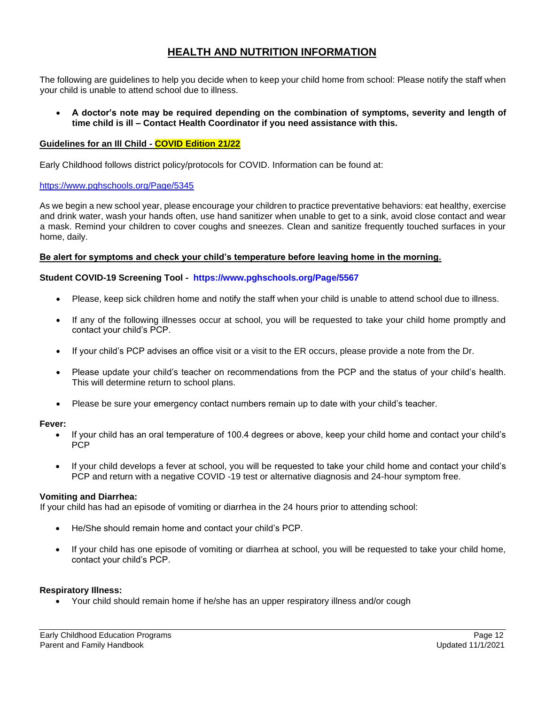# **HEALTH AND NUTRITION INFORMATION**

The following are guidelines to help you decide when to keep your child home from school: Please notify the staff when your child is unable to attend school due to illness.

• **A doctor's note may be required depending on the combination of symptoms, severity and length of time child is ill – Contact Health Coordinator if you need assistance with this.**

#### **Guidelines for an Ill Child - COVID Edition 21/22**

Early Childhood follows district policy/protocols for COVID. Information can be found at:

#### https://www.pghschools.org/Page/5345

As we begin a new school year, please encourage your children to practice preventative behaviors: eat healthy, exercise and drink water, wash your hands often, use hand sanitizer when unable to get to a sink, avoid close contact and wear a mask. Remind your children to cover coughs and sneezes. Clean and sanitize frequently touched surfaces in your home, daily.

#### **Be alert for symptoms and check your child's temperature before leaving home in the morning.**

#### **Student COVID-19 Screening Tool - https://www.pghschools.org/Page/5567**

- Please, keep sick children home and notify the staff when your child is unable to attend school due to illness.
- If any of the following illnesses occur at school, you will be requested to take your child home promptly and contact your child's PCP.
- If your child's PCP advises an office visit or a visit to the ER occurs, please provide a note from the Dr.
- Please update your child's teacher on recommendations from the PCP and the status of your child's health. This will determine return to school plans.
- Please be sure your emergency contact numbers remain up to date with your child's teacher.

#### **Fever:**

- If your child has an oral temperature of 100.4 degrees or above, keep your child home and contact your child's PCP
- If your child develops a fever at school, you will be requested to take your child home and contact your child's PCP and return with a negative COVID -19 test or alternative diagnosis and 24-hour symptom free.

#### **Vomiting and Diarrhea:**

If your child has had an episode of vomiting or diarrhea in the 24 hours prior to attending school:

- He/She should remain home and contact your child's PCP.
- If your child has one episode of vomiting or diarrhea at school, you will be requested to take your child home, contact your child's PCP.

#### **Respiratory Illness:**

• Your child should remain home if he/she has an upper respiratory illness and/or cough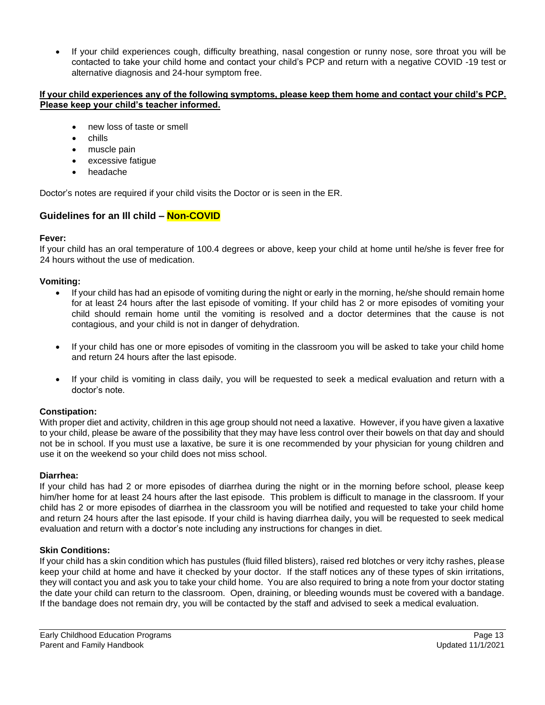• If your child experiences cough, difficulty breathing, nasal congestion or runny nose, sore throat you will be contacted to take your child home and contact your child's PCP and return with a negative COVID -19 test or alternative diagnosis and 24-hour symptom free.

#### **If your child experiences any of the following symptoms, please keep them home and contact your child's PCP. Please keep your child's teacher informed.**

- new loss of taste or smell
- chills
- muscle pain
- excessive fatigue
- headache

Doctor's notes are required if your child visits the Doctor or is seen in the ER.

# **Guidelines for an Ill child – Non-COVID**

#### **Fever:**

If your child has an oral temperature of 100.4 degrees or above, keep your child at home until he/she is fever free for 24 hours without the use of medication.

#### **Vomiting:**

- If your child has had an episode of vomiting during the night or early in the morning, he/she should remain home for at least 24 hours after the last episode of vomiting. If your child has 2 or more episodes of vomiting your child should remain home until the vomiting is resolved and a doctor determines that the cause is not contagious, and your child is not in danger of dehydration.
- If your child has one or more episodes of vomiting in the classroom you will be asked to take your child home and return 24 hours after the last episode.
- If your child is vomiting in class daily, you will be requested to seek a medical evaluation and return with a doctor's note.

#### **Constipation:**

With proper diet and activity, children in this age group should not need a laxative. However, if you have given a laxative to your child, please be aware of the possibility that they may have less control over their bowels on that day and should not be in school. If you must use a laxative, be sure it is one recommended by your physician for young children and use it on the weekend so your child does not miss school.

#### **Diarrhea:**

If your child has had 2 or more episodes of diarrhea during the night or in the morning before school, please keep him/her home for at least 24 hours after the last episode. This problem is difficult to manage in the classroom. If your child has 2 or more episodes of diarrhea in the classroom you will be notified and requested to take your child home and return 24 hours after the last episode. If your child is having diarrhea daily, you will be requested to seek medical evaluation and return with a doctor's note including any instructions for changes in diet.

#### **Skin Conditions:**

If your child has a skin condition which has pustules (fluid filled blisters), raised red blotches or very itchy rashes, please keep your child at home and have it checked by your doctor. If the staff notices any of these types of skin irritations, they will contact you and ask you to take your child home. You are also required to bring a note from your doctor stating the date your child can return to the classroom. Open, draining, or bleeding wounds must be covered with a bandage. If the bandage does not remain dry, you will be contacted by the staff and advised to seek a medical evaluation.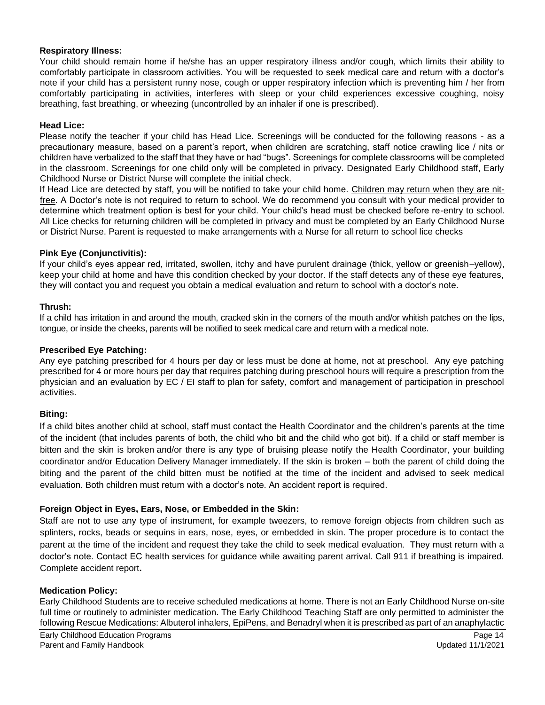#### **Respiratory Illness:**

Your child should remain home if he/she has an upper respiratory illness and/or cough, which limits their ability to comfortably participate in classroom activities. You will be requested to seek medical care and return with a doctor's note if your child has a persistent runny nose, cough or upper respiratory infection which is preventing him / her from comfortably participating in activities, interferes with sleep or your child experiences excessive coughing, noisy breathing, fast breathing, or wheezing (uncontrolled by an inhaler if one is prescribed).

#### **Head Lice:**

Please notify the teacher if your child has Head Lice. Screenings will be conducted for the following reasons - as a precautionary measure, based on a parent's report, when children are scratching, staff notice crawling lice / nits or children have verbalized to the staff that they have or had "bugs". Screenings for complete classrooms will be completed in the classroom. Screenings for one child only will be completed in privacy. Designated Early Childhood staff, Early Childhood Nurse or District Nurse will complete the initial check.

If Head Lice are detected by staff, you will be notified to take your child home. Children may return when they are nitfree. A Doctor's note is not required to return to school. We do recommend you consult with your medical provider to determine which treatment option is best for your child. Your child's head must be checked before re-entry to school. All Lice checks for returning children will be completed in privacy and must be completed by an Early Childhood Nurse or District Nurse. Parent is requested to make arrangements with a Nurse for all return to school lice checks

#### **Pink Eye (Conjunctivitis):**

If your child's eyes appear red, irritated, swollen, itchy and have purulent drainage (thick, yellow or greenish–yellow), keep your child at home and have this condition checked by your doctor. If the staff detects any of these eye features, they will contact you and request you obtain a medical evaluation and return to school with a doctor's note.

#### **Thrush:**

If a child has irritation in and around the mouth, cracked skin in the corners of the mouth and/or whitish patches on the lips, tongue, or inside the cheeks, parents will be notified to seek medical care and return with a medical note.

#### **Prescribed Eye Patching:**

Any eye patching prescribed for 4 hours per day or less must be done at home, not at preschool. Any eye patching prescribed for 4 or more hours per day that requires patching during preschool hours will require a prescription from the physician and an evaluation by EC / EI staff to plan for safety, comfort and management of participation in preschool activities.

#### **Biting:**

If a child bites another child at school, staff must contact the Health Coordinator and the children's parents at the time of the incident (that includes parents of both, the child who bit and the child who got bit). If a child or staff member is bitten and the skin is broken and/or there is any type of bruising please notify the Health Coordinator, your building coordinator and/or Education Delivery Manager immediately. If the skin is broken – both the parent of child doing the biting and the parent of the child bitten must be notified at the time of the incident and advised to seek medical evaluation. Both children must return with a doctor's note. An accident report is required.

#### **Foreign Object in Eyes, Ears, Nose, or Embedded in the Skin:**

Staff are not to use any type of instrument, for example tweezers, to remove foreign objects from children such as splinters, rocks, beads or sequins in ears, nose, eyes, or embedded in skin. The proper procedure is to contact the parent at the time of the incident and request they take the child to seek medical evaluation. They must return with a doctor's note. Contact EC health services for guidance while awaiting parent arrival. Call 911 if breathing is impaired. Complete accident report**.**

#### **Medication Policy:**

Early Childhood Students are to receive scheduled medications at home. There is not an Early Childhood Nurse on-site full time or routinely to administer medication. The Early Childhood Teaching Staff are only permitted to administer the following Rescue Medications: Albuterol inhalers, EpiPens, and Benadryl when it is prescribed as part of an anaphylactic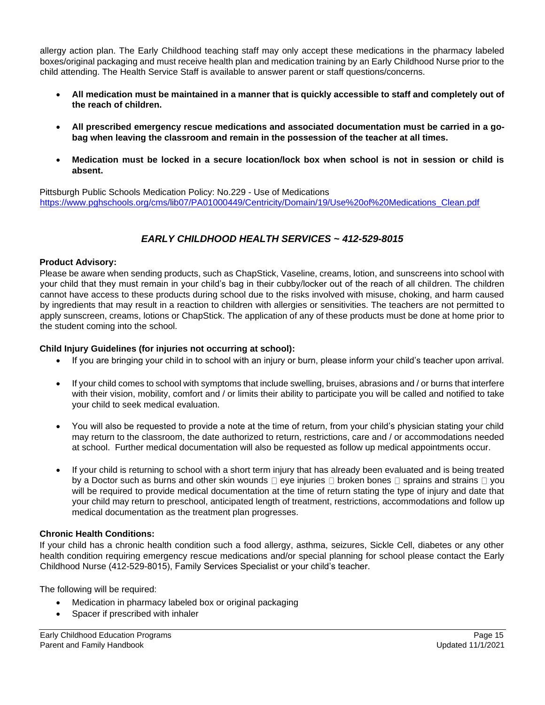allergy action plan. The Early Childhood teaching staff may only accept these medications in the pharmacy labeled boxes/original packaging and must receive health plan and medication training by an Early Childhood Nurse prior to the child attending. The Health Service Staff is available to answer parent or staff questions/concerns.

- **All medication must be maintained in a manner that is quickly accessible to staff and completely out of the reach of children.**
- **All prescribed emergency rescue medications and associated documentation must be carried in a gobag when leaving the classroom and remain in the possession of the teacher at all times.**
- **Medication must be locked in a secure location/lock box when school is not in session or child is absent.**

Pittsburgh Public Schools Medication Policy: No.229 - Use of Medications https://www.pghschools.org/cms/lib07/PA01000449/Centricity/Domain/19/Use%20of%20Medications\_Clean.pdf

# *EARLY CHILDHOOD HEALTH SERVICES ~ 412-529-8015*

#### **Product Advisory:**

Please be aware when sending products, such as ChapStick, Vaseline, creams, lotion, and sunscreens into school with your child that they must remain in your child's bag in their cubby/locker out of the reach of all children. The children cannot have access to these products during school due to the risks involved with misuse, choking, and harm caused by ingredients that may result in a reaction to children with allergies or sensitivities. The teachers are not permitted to apply sunscreen, creams, lotions or ChapStick. The application of any of these products must be done at home prior to the student coming into the school.

#### **Child Injury Guidelines (for injuries not occurring at school):**

- If you are bringing your child in to school with an injury or burn, please inform your child's teacher upon arrival.
- If your child comes to school with symptoms that include swelling, bruises, abrasions and / or burns that interfere with their vision, mobility, comfort and / or limits their ability to participate you will be called and notified to take your child to seek medical evaluation.
- You will also be requested to provide a note at the time of return, from your child's physician stating your child may return to the classroom, the date authorized to return, restrictions, care and / or accommodations needed at school. Further medical documentation will also be requested as follow up medical appointments occur.
- If your child is returning to school with a short term injury that has already been evaluated and is being treated by a Doctor such as burns and other skin wounds  $\Box$  eye injuries  $\Box$  broken bones  $\Box$  sprains and strains  $\Box$  you will be required to provide medical documentation at the time of return stating the type of injury and date that your child may return to preschool, anticipated length of treatment, restrictions, accommodations and follow up medical documentation as the treatment plan progresses.

#### **Chronic Health Conditions:**

If your child has a chronic health condition such a food allergy, asthma, seizures, Sickle Cell, diabetes or any other health condition requiring emergency rescue medications and/or special planning for school please contact the Early Childhood Nurse (412-529-8015), Family Services Specialist or your child's teacher.

The following will be required:

- Medication in pharmacy labeled box or original packaging
- Spacer if prescribed with inhaler

Early Childhood Education Programs **Page 15** Page 15 Parent and Family Handbook Updated 11/1/2021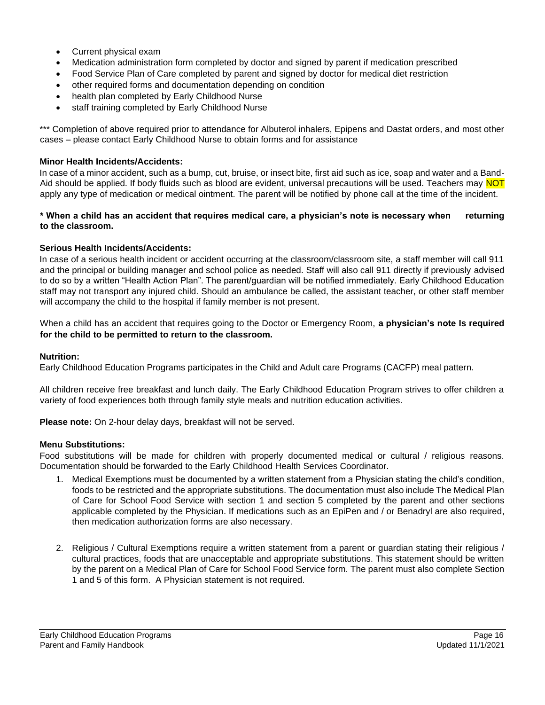- Current physical exam
- Medication administration form completed by doctor and signed by parent if medication prescribed
- Food Service Plan of Care completed by parent and signed by doctor for medical diet restriction
- other required forms and documentation depending on condition
- health plan completed by Early Childhood Nurse
- staff training completed by Early Childhood Nurse

\*\*\* Completion of above required prior to attendance for Albuterol inhalers, Epipens and Dastat orders, and most other cases – please contact Early Childhood Nurse to obtain forms and for assistance

#### **Minor Health Incidents/Accidents:**

In case of a minor accident, such as a bump, cut, bruise, or insect bite, first aid such as ice, soap and water and a Band-Aid should be applied. If body fluids such as blood are evident, universal precautions will be used. Teachers may NOT apply any type of medication or medical ointment. The parent will be notified by phone call at the time of the incident.

#### **\* When a child has an accident that requires medical care, a physician's note is necessary when returning to the classroom.**

#### **Serious Health Incidents/Accidents:**

In case of a serious health incident or accident occurring at the classroom/classroom site, a staff member will call 911 and the principal or building manager and school police as needed. Staff will also call 911 directly if previously advised to do so by a written "Health Action Plan". The parent/guardian will be notified immediately. Early Childhood Education staff may not transport any injured child. Should an ambulance be called, the assistant teacher, or other staff member will accompany the child to the hospital if family member is not present.

When a child has an accident that requires going to the Doctor or Emergency Room, **a physician's note Is required for the child to be permitted to return to the classroom.** 

#### **Nutrition:**

Early Childhood Education Programs participates in the Child and Adult care Programs (CACFP) meal pattern.

All children receive free breakfast and lunch daily. The Early Childhood Education Program strives to offer children a variety of food experiences both through family style meals and nutrition education activities.

**Please note:** On 2-hour delay days, breakfast will not be served.

#### **Menu Substitutions:**

Food substitutions will be made for children with properly documented medical or cultural / religious reasons. Documentation should be forwarded to the Early Childhood Health Services Coordinator.

- 1. Medical Exemptions must be documented by a written statement from a Physician stating the child's condition, foods to be restricted and the appropriate substitutions. The documentation must also include The Medical Plan of Care for School Food Service with section 1 and section 5 completed by the parent and other sections applicable completed by the Physician. If medications such as an EpiPen and / or Benadryl are also required, then medication authorization forms are also necessary.
- 2. Religious / Cultural Exemptions require a written statement from a parent or guardian stating their religious / cultural practices, foods that are unacceptable and appropriate substitutions. This statement should be written by the parent on a Medical Plan of Care for School Food Service form. The parent must also complete Section 1 and 5 of this form. A Physician statement is not required.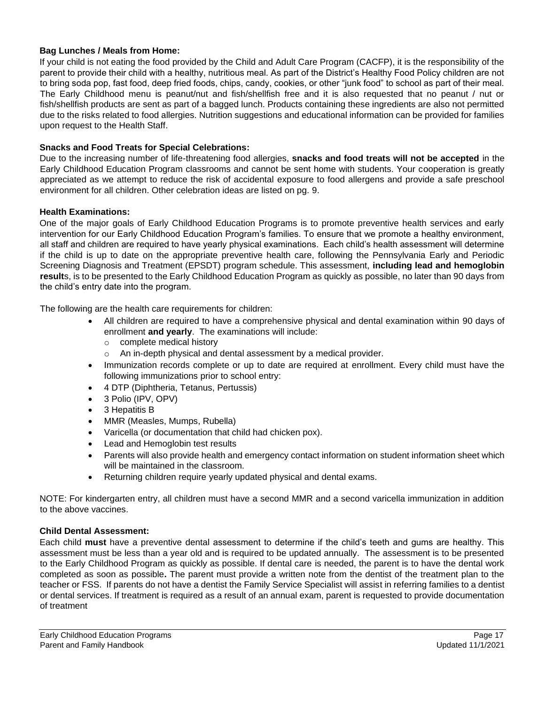#### **Bag Lunches / Meals from Home:**

If your child is not eating the food provided by the Child and Adult Care Program (CACFP), it is the responsibility of the parent to provide their child with a healthy, nutritious meal. As part of the District's Healthy Food Policy children are not to bring soda pop, fast food, deep fried foods, chips, candy, cookies, or other "junk food" to school as part of their meal. The Early Childhood menu is peanut/nut and fish/shellfish free and it is also requested that no peanut / nut or fish/shellfish products are sent as part of a bagged lunch. Products containing these ingredients are also not permitted due to the risks related to food allergies. Nutrition suggestions and educational information can be provided for families upon request to the Health Staff.

#### **Snacks and Food Treats for Special Celebrations:**

Due to the increasing number of life-threatening food allergies, **snacks and food treats will not be accepted** in the Early Childhood Education Program classrooms and cannot be sent home with students. Your cooperation is greatly appreciated as we attempt to reduce the risk of accidental exposure to food allergens and provide a safe preschool environment for all children. Other celebration ideas are listed on pg. 9.

#### **Health Examinations:**

One of the major goals of Early Childhood Education Programs is to promote preventive health services and early intervention for our Early Childhood Education Program's families. To ensure that we promote a healthy environment, all staff and children are required to have yearly physical examinations. Each child's health assessment will determine if the child is up to date on the appropriate preventive health care, following the Pennsylvania Early and Periodic Screening Diagnosis and Treatment (EPSDT) program schedule. This assessment, **including lead and hemoglobin result**s, is to be presented to the Early Childhood Education Program as quickly as possible, no later than 90 days from the child's entry date into the program.

The following are the health care requirements for children:

- All children are required to have a comprehensive physical and dental examination within 90 days of enrollment **and yearly**. The examinations will include:
	- o complete medical history
	- o An in-depth physical and dental assessment by a medical provider.
- Immunization records complete or up to date are required at enrollment. Every child must have the following immunizations prior to school entry:
- 4 DTP (Diphtheria, Tetanus, Pertussis)
- 3 Polio (IPV, OPV)
- 3 Hepatitis B
- MMR (Measles, Mumps, Rubella)
- Varicella (or documentation that child had chicken pox).
- Lead and Hemoglobin test results
- Parents will also provide health and emergency contact information on student information sheet which will be maintained in the classroom.
- Returning children require yearly updated physical and dental exams.

NOTE: For kindergarten entry, all children must have a second MMR and a second varicella immunization in addition to the above vaccines.

#### **Child Dental Assessment:**

Each child **must** have a preventive dental assessment to determine if the child's teeth and gums are healthy. This assessment must be less than a year old and is required to be updated annually. The assessment is to be presented to the Early Childhood Program as quickly as possible. If dental care is needed, the parent is to have the dental work completed as soon as possible**.** The parent must provide a written note from the dentist of the treatment plan to the teacher or FSS. If parents do not have a dentist the Family Service Specialist will assist in referring families to a dentist or dental services. If treatment is required as a result of an annual exam, parent is requested to provide documentation of treatment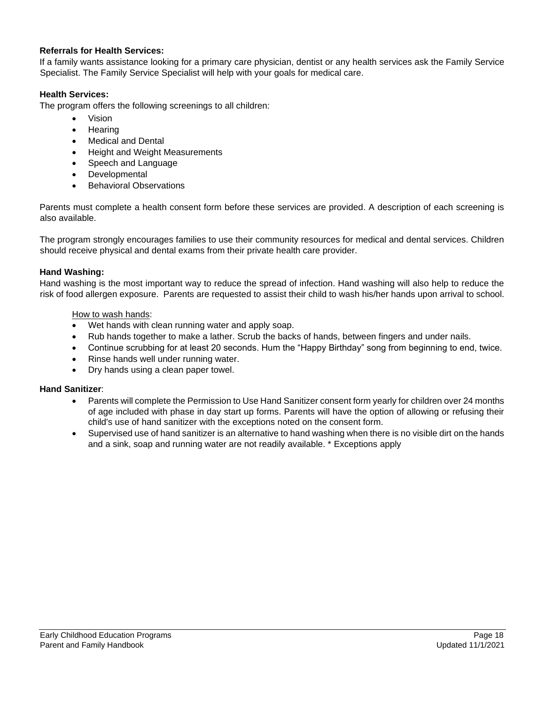#### **Referrals for Health Services:**

If a family wants assistance looking for a primary care physician, dentist or any health services ask the Family Service Specialist. The Family Service Specialist will help with your goals for medical care.

#### **Health Services:**

The program offers the following screenings to all children:

- Vision
- Hearing
- Medical and Dental
- Height and Weight Measurements
- Speech and Language
- **Developmental**
- **Behavioral Observations**

Parents must complete a health consent form before these services are provided. A description of each screening is also available.

The program strongly encourages families to use their community resources for medical and dental services. Children should receive physical and dental exams from their private health care provider.

#### **Hand Washing:**

Hand washing is the most important way to reduce the spread of infection. Hand washing will also help to reduce the risk of food allergen exposure. Parents are requested to assist their child to wash his/her hands upon arrival to school.

#### How to wash hands:

- Wet hands with clean running water and apply soap.
- Rub hands together to make a lather. Scrub the backs of hands, between fingers and under nails.
- Continue scrubbing for at least 20 seconds. Hum the "Happy Birthday" song from beginning to end, twice.
- Rinse hands well under running water.
- Dry hands using a clean paper towel.

#### **Hand Sanitizer**:

- Parents will complete the Permission to Use Hand Sanitizer consent form yearly for children over 24 months of age included with phase in day start up forms. Parents will have the option of allowing or refusing their child's use of hand sanitizer with the exceptions noted on the consent form.
- Supervised use of hand sanitizer is an alternative to hand washing when there is no visible dirt on the hands and a sink, soap and running water are not readily available. \* Exceptions apply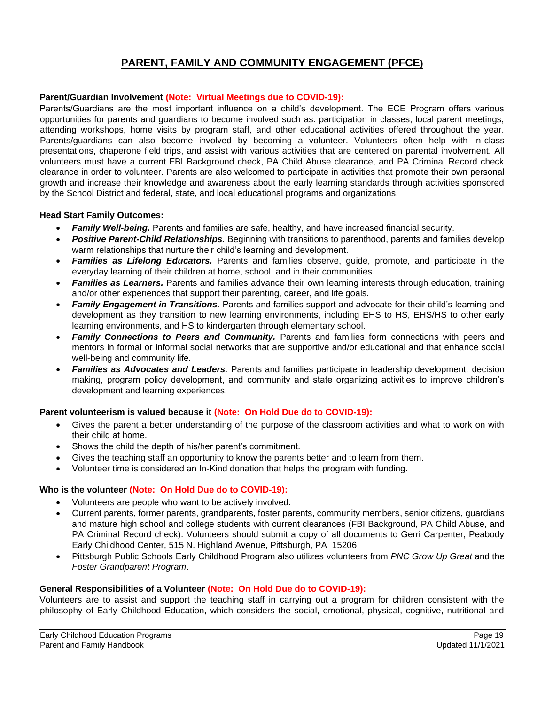# **PARENT, FAMILY AND COMMUNITY ENGAGEMENT (PFCE)**

#### **Parent/Guardian Involvement (Note: Virtual Meetings due to COVID-19):**

Parents/Guardians are the most important influence on a child's development. The ECE Program offers various opportunities for parents and guardians to become involved such as: participation in classes, local parent meetings, attending workshops, home visits by program staff, and other educational activities offered throughout the year. Parents/guardians can also become involved by becoming a volunteer. Volunteers often help with in-class presentations, chaperone field trips, and assist with various activities that are centered on parental involvement. All volunteers must have a current FBI Background check, PA Child Abuse clearance, and PA Criminal Record check clearance in order to volunteer. Parents are also welcomed to participate in activities that promote their own personal growth and increase their knowledge and awareness about the early learning standards through activities sponsored by the School District and federal, state, and local educational programs and organizations.

#### **Head Start Family Outcomes:**

- *Family Well-being.* Parents and families are safe, healthy, and have increased financial security.
- *Positive Parent-Child Relationships.* Beginning with transitions to parenthood, parents and families develop warm relationships that nurture their child's learning and development.
- *Families as Lifelong Educators.* Parents and families observe, guide, promote, and participate in the everyday learning of their children at home, school, and in their communities.
- *Families as Learners.* Parents and families advance their own learning interests through education, training and/or other experiences that support their parenting, career, and life goals.
- *Family Engagement in Transitions.* Parents and families support and advocate for their child's learning and development as they transition to new learning environments, including EHS to HS, EHS/HS to other early learning environments, and HS to kindergarten through elementary school.
- **Family Connections to Peers and Community.** Parents and families form connections with peers and mentors in formal or informal social networks that are supportive and/or educational and that enhance social well-being and community life.
- *Families as Advocates and Leaders.* Parents and families participate in leadership development, decision making, program policy development, and community and state organizing activities to improve children's development and learning experiences.

#### **Parent volunteerism is valued because it (Note: On Hold Due do to COVID-19):**

- Gives the parent a better understanding of the purpose of the classroom activities and what to work on with their child at home.
- Shows the child the depth of his/her parent's commitment.
- Gives the teaching staff an opportunity to know the parents better and to learn from them.
- Volunteer time is considered an In-Kind donation that helps the program with funding.

#### **Who is the volunteer (Note: On Hold Due do to COVID-19):**

- Volunteers are people who want to be actively involved.
- Current parents, former parents, grandparents, foster parents, community members, senior citizens, guardians and mature high school and college students with current clearances (FBI Background, PA Child Abuse, and PA Criminal Record check). Volunteers should submit a copy of all documents to Gerri Carpenter, Peabody Early Childhood Center, 515 N. Highland Avenue, Pittsburgh, PA 15206
- Pittsburgh Public Schools Early Childhood Program also utilizes volunteers from *PNC Grow Up Great* and the *Foster Grandparent Program*.

#### **General Responsibilities of a Volunteer (Note: On Hold Due do to COVID-19):**

Volunteers are to assist and support the teaching staff in carrying out a program for children consistent with the philosophy of Early Childhood Education, which considers the social, emotional, physical, cognitive, nutritional and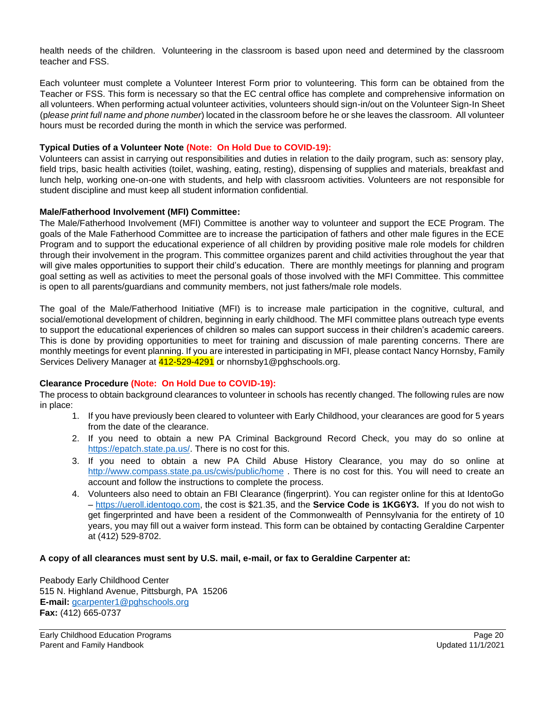health needs of the children. Volunteering in the classroom is based upon need and determined by the classroom teacher and FSS.

Each volunteer must complete a Volunteer Interest Form prior to volunteering. This form can be obtained from the Teacher or FSS. This form is necessary so that the EC central office has complete and comprehensive information on all volunteers. When performing actual volunteer activities, volunteers should sign-in/out on the Volunteer Sign-In Sheet (p*lease print full name and phone number*) located in the classroom before he or she leaves the classroom. All volunteer hours must be recorded during the month in which the service was performed.

#### **Typical Duties of a Volunteer Note (Note: On Hold Due to COVID-19):**

Volunteers can assist in carrying out responsibilities and duties in relation to the daily program, such as: sensory play, field trips, basic health activities (toilet, washing, eating, resting), dispensing of supplies and materials, breakfast and lunch help, working one-on-one with students, and help with classroom activities. Volunteers are not responsible for student discipline and must keep all student information confidential.

#### **Male/Fatherhood Involvement (MFI) Committee:**

The Male/Fatherhood Involvement (MFI) Committee is another way to volunteer and support the ECE Program. The goals of the Male Fatherhood Committee are to increase the participation of fathers and other male figures in the ECE Program and to support the educational experience of all children by providing positive male role models for children through their involvement in the program. This committee organizes parent and child activities throughout the year that will give males opportunities to support their child's education. There are monthly meetings for planning and program goal setting as well as activities to meet the personal goals of those involved with the MFI Committee. This committee is open to all parents/guardians and community members, not just fathers/male role models.

The goal of the Male/Fatherhood Initiative (MFI) is to increase male participation in the cognitive, cultural, and social/emotional development of children, beginning in early childhood. The MFI committee plans outreach type events to support the educational experiences of children so males can support success in their children's academic careers. This is done by providing opportunities to meet for training and discussion of male parenting concerns. There are monthly meetings for event planning. If you are interested in participating in MFI, please contact Nancy Hornsby, Family Services Delivery Manager at 412-529-4291 or nhornsby1@pghschools.org.

#### **Clearance Procedure (Note: On Hold Due to COVID-19):**

The process to obtain background clearances to volunteer in schools has recently changed. The following rules are now in place:

- 1. If you have previously been cleared to volunteer with Early Childhood, your clearances are good for 5 years from the date of the clearance.
- 2. If you need to obtain a new PA Criminal Background Record Check, you may do so online at https://epatch.state.pa.us/. There is no cost for this.
- 3. If you need to obtain a new PA Child Abuse History Clearance, you may do so online at http://www.compass.state.pa.us/cwis/public/home . There is no cost for this. You will need to create an account and follow the instructions to complete the process.
- 4. Volunteers also need to obtain an FBI Clearance (fingerprint). You can register online for this at IdentoGo – https://ueroll.identogo.com, the cost is \$21.35, and the **Service Code is 1KG6Y3.** If you do not wish to get fingerprinted and have been a resident of the Commonwealth of Pennsylvania for the entirety of 10 years, you may fill out a waiver form instead. This form can be obtained by contacting Geraldine Carpenter at (412) 529-8702.

#### **A copy of all clearances must sent by U.S. mail, e-mail, or fax to Geraldine Carpenter at:**

Peabody Early Childhood Center 515 N. Highland Avenue, Pittsburgh, PA 15206 **E-mail:** gcarpenter1@pghschools.org **Fax:** (412) 665-0737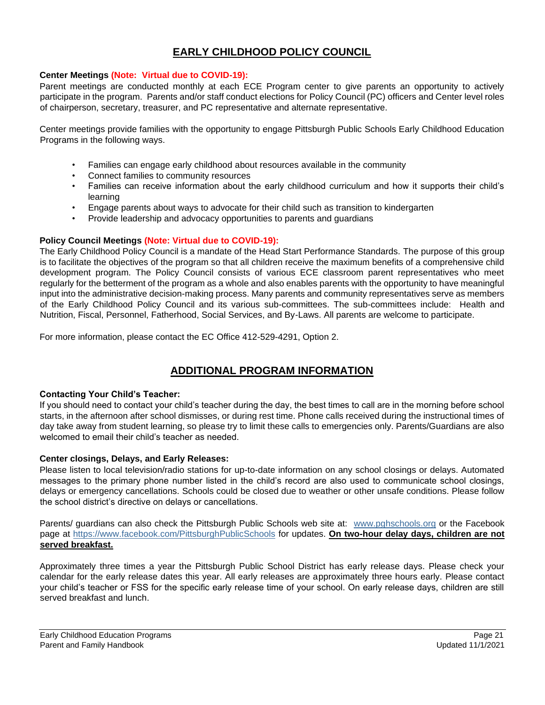# **EARLY CHILDHOOD POLICY COUNCIL**

#### **Center Meetings (Note: Virtual due to COVID-19):**

Parent meetings are conducted monthly at each ECE Program center to give parents an opportunity to actively participate in the program. Parents and/or staff conduct elections for Policy Council (PC) officers and Center level roles of chairperson, secretary, treasurer, and PC representative and alternate representative.

Center meetings provide families with the opportunity to engage Pittsburgh Public Schools Early Childhood Education Programs in the following ways.

- Families can engage early childhood about resources available in the community
- Connect families to community resources
- Families can receive information about the early childhood curriculum and how it supports their child's learning
- Engage parents about ways to advocate for their child such as transition to kindergarten
- Provide leadership and advocacy opportunities to parents and guardians

#### **Policy Council Meetings (Note: Virtual due to COVID-19):**

The Early Childhood Policy Council is a mandate of the Head Start Performance Standards. The purpose of this group is to facilitate the objectives of the program so that all children receive the maximum benefits of a comprehensive child development program. The Policy Council consists of various ECE classroom parent representatives who meet regularly for the betterment of the program as a whole and also enables parents with the opportunity to have meaningful input into the administrative decision-making process. Many parents and community representatives serve as members of the Early Childhood Policy Council and its various sub-committees. The sub-committees include: Health and Nutrition, Fiscal, Personnel, Fatherhood, Social Services, and By-Laws. All parents are welcome to participate.

For more information, please contact the EC Office 412-529-4291, Option 2.

# **ADDITIONAL PROGRAM INFORMATION**

#### **Contacting Your Child's Teacher:**

If you should need to contact your child's teacher during the day, the best times to call are in the morning before school starts, in the afternoon after school dismisses, or during rest time. Phone calls received during the instructional times of day take away from student learning, so please try to limit these calls to emergencies only. Parents/Guardians are also welcomed to email their child's teacher as needed.

#### **Center closings, Delays, and Early Releases:**

Please listen to local television/radio stations for up-to-date information on any school closings or delays. Automated messages to the primary phone number listed in the child's record are also used to communicate school closings, delays or emergency cancellations. Schools could be closed due to weather or other unsafe conditions. Please follow the school district's directive on delays or cancellations.

Parents/ guardians can also check the Pittsburgh Public Schools web site at: www.pghschools.org or the Facebook page at https://www.facebook.com/PittsburghPublicSchools for updates. **On two-hour delay days, children are not served breakfast.** 

Approximately three times a year the Pittsburgh Public School District has early release days. Please check your calendar for the early release dates this year. All early releases are approximately three hours early. Please contact your child's teacher or FSS for the specific early release time of your school. On early release days, children are still served breakfast and lunch.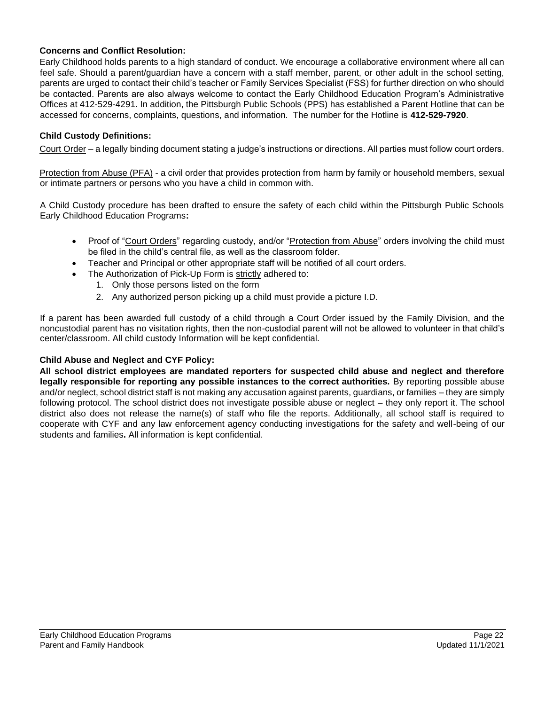#### **Concerns and Conflict Resolution:**

Early Childhood holds parents to a high standard of conduct. We encourage a collaborative environment where all can feel safe. Should a parent/guardian have a concern with a staff member, parent, or other adult in the school setting, parents are urged to contact their child's teacher or Family Services Specialist (FSS) for further direction on who should be contacted. Parents are also always welcome to contact the Early Childhood Education Program's Administrative Offices at 412-529-4291. In addition, the Pittsburgh Public Schools (PPS) has established a Parent Hotline that can be accessed for concerns, complaints, questions, and information. The number for the Hotline is **412-529-7920**.

#### **Child Custody Definitions:**

Court Order – a legally binding document stating a judge's instructions or directions. All parties must follow court orders.

Protection from Abuse (PFA) - a civil order that provides protection from harm by family or household members, sexual or intimate partners or persons who you have a child in common with.

A Child Custody procedure has been drafted to ensure the safety of each child within the Pittsburgh Public Schools Early Childhood Education Programs**:**

- Proof of "Court Orders" regarding custody, and/or "Protection from Abuse" orders involving the child must be filed in the child's central file, as well as the classroom folder.
- Teacher and Principal or other appropriate staff will be notified of all court orders.
- The Authorization of Pick-Up Form is strictly adhered to:
	- 1. Only those persons listed on the form
	- 2. Any authorized person picking up a child must provide a picture I.D.

If a parent has been awarded full custody of a child through a Court Order issued by the Family Division, and the noncustodial parent has no visitation rights, then the non-custodial parent will not be allowed to volunteer in that child's center/classroom. All child custody Information will be kept confidential*.*

#### **Child Abuse and Neglect and CYF Policy:**

**All school district employees are mandated reporters for suspected child abuse and neglect and therefore legally responsible for reporting any possible instances to the correct authorities.** By reporting possible abuse and/or neglect, school district staff is not making any accusation against parents, guardians, or families – they are simply following protocol. The school district does not investigate possible abuse or neglect – they only report it. The school district also does not release the name(s) of staff who file the reports. Additionally, all school staff is required to cooperate with CYF and any law enforcement agency conducting investigations for the safety and well-being of our students and families**.** All information is kept confidential.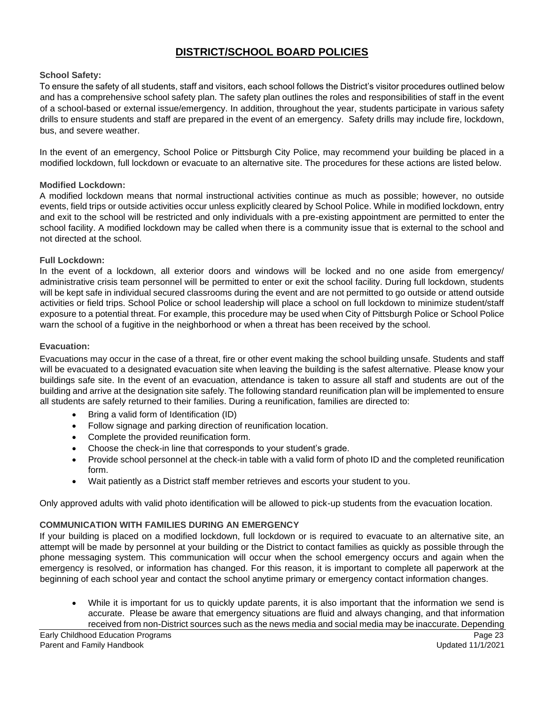# **DISTRICT/SCHOOL BOARD POLICIES**

#### **School Safety:**

To ensure the safety of all students, staff and visitors, each school follows the District's visitor procedures outlined below and has a comprehensive school safety plan. The safety plan outlines the roles and responsibilities of staff in the event of a school-based or external issue/emergency. In addition, throughout the year, students participate in various safety drills to ensure students and staff are prepared in the event of an emergency. Safety drills may include fire, lockdown, bus, and severe weather.

In the event of an emergency, School Police or Pittsburgh City Police, may recommend your building be placed in a modified lockdown, full lockdown or evacuate to an alternative site. The procedures for these actions are listed below.

#### **Modified Lockdown:**

A modified lockdown means that normal instructional activities continue as much as possible; however, no outside events, field trips or outside activities occur unless explicitly cleared by School Police. While in modified lockdown, entry and exit to the school will be restricted and only individuals with a pre-existing appointment are permitted to enter the school facility. A modified lockdown may be called when there is a community issue that is external to the school and not directed at the school.

#### **Full Lockdown:**

In the event of a lockdown, all exterior doors and windows will be locked and no one aside from emergency/ administrative crisis team personnel will be permitted to enter or exit the school facility. During full lockdown, students will be kept safe in individual secured classrooms during the event and are not permitted to go outside or attend outside activities or field trips. School Police or school leadership will place a school on full lockdown to minimize student/staff exposure to a potential threat. For example, this procedure may be used when City of Pittsburgh Police or School Police warn the school of a fugitive in the neighborhood or when a threat has been received by the school.

#### **Evacuation:**

Evacuations may occur in the case of a threat, fire or other event making the school building unsafe. Students and staff will be evacuated to a designated evacuation site when leaving the building is the safest alternative. Please know your buildings safe site. In the event of an evacuation, attendance is taken to assure all staff and students are out of the building and arrive at the designation site safely. The following standard reunification plan will be implemented to ensure all students are safely returned to their families. During a reunification, families are directed to:

- Bring a valid form of Identification (ID)
- Follow signage and parking direction of reunification location.
- Complete the provided reunification form.
- Choose the check-in line that corresponds to your student's grade.
- Provide school personnel at the check-in table with a valid form of photo ID and the completed reunification form.
- Wait patiently as a District staff member retrieves and escorts your student to you.

Only approved adults with valid photo identification will be allowed to pick-up students from the evacuation location.

#### **COMMUNICATION WITH FAMILIES DURING AN EMERGENCY**

If your building is placed on a modified lockdown, full lockdown or is required to evacuate to an alternative site, an attempt will be made by personnel at your building or the District to contact families as quickly as possible through the phone messaging system. This communication will occur when the school emergency occurs and again when the emergency is resolved, or information has changed. For this reason, it is important to complete all paperwork at the beginning of each school year and contact the school anytime primary or emergency contact information changes.

• While it is important for us to quickly update parents, it is also important that the information we send is accurate. Please be aware that emergency situations are fluid and always changing, and that information received from non-District sources such as the news media and social media may be inaccurate. Depending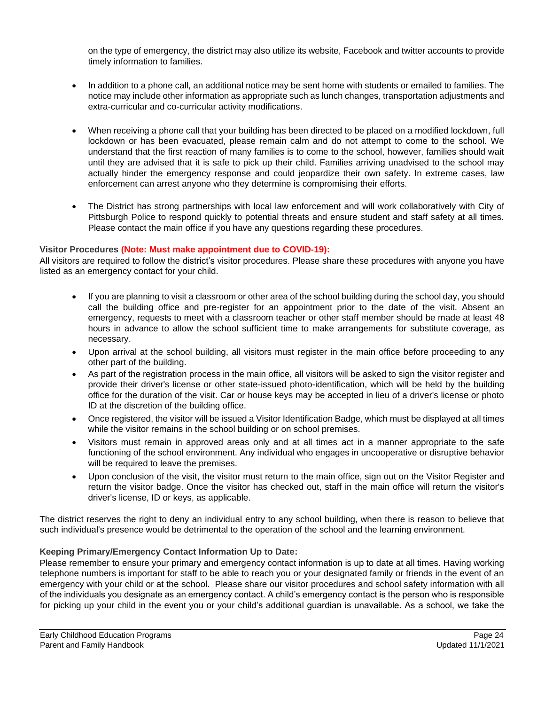on the type of emergency, the district may also utilize its website, Facebook and twitter accounts to provide timely information to families.

- In addition to a phone call, an additional notice may be sent home with students or emailed to families. The notice may include other information as appropriate such as lunch changes, transportation adjustments and extra-curricular and co-curricular activity modifications.
- When receiving a phone call that your building has been directed to be placed on a modified lockdown, full lockdown or has been evacuated, please remain calm and do not attempt to come to the school. We understand that the first reaction of many families is to come to the school, however, families should wait until they are advised that it is safe to pick up their child. Families arriving unadvised to the school may actually hinder the emergency response and could jeopardize their own safety. In extreme cases, law enforcement can arrest anyone who they determine is compromising their efforts.
- The District has strong partnerships with local law enforcement and will work collaboratively with City of Pittsburgh Police to respond quickly to potential threats and ensure student and staff safety at all times. Please contact the main office if you have any questions regarding these procedures.

#### **Visitor Procedures (Note: Must make appointment due to COVID-19):**

All visitors are required to follow the district's visitor procedures. Please share these procedures with anyone you have listed as an emergency contact for your child.

- If you are planning to visit a classroom or other area of the school building during the school day, you should call the building office and pre-register for an appointment prior to the date of the visit. Absent an emergency, requests to meet with a classroom teacher or other staff member should be made at least 48 hours in advance to allow the school sufficient time to make arrangements for substitute coverage, as necessary.
- Upon arrival at the school building, all visitors must register in the main office before proceeding to any other part of the building.
- As part of the registration process in the main office, all visitors will be asked to sign the visitor register and provide their driver's license or other state-issued photo-identification, which will be held by the building office for the duration of the visit. Car or house keys may be accepted in lieu of a driver's license or photo ID at the discretion of the building office.
- Once registered, the visitor will be issued a Visitor Identification Badge, which must be displayed at all times while the visitor remains in the school building or on school premises.
- Visitors must remain in approved areas only and at all times act in a manner appropriate to the safe functioning of the school environment. Any individual who engages in uncooperative or disruptive behavior will be required to leave the premises.
- Upon conclusion of the visit, the visitor must return to the main office, sign out on the Visitor Register and return the visitor badge. Once the visitor has checked out, staff in the main office will return the visitor's driver's license, ID or keys, as applicable.

The district reserves the right to deny an individual entry to any school building, when there is reason to believe that such individual's presence would be detrimental to the operation of the school and the learning environment.

# **Keeping Primary/Emergency Contact Information Up to Date:**

Please remember to ensure your primary and emergency contact information is up to date at all times. Having working telephone numbers is important for staff to be able to reach you or your designated family or friends in the event of an emergency with your child or at the school. Please share our visitor procedures and school safety information with all of the individuals you designate as an emergency contact. A child's emergency contact is the person who is responsible for picking up your child in the event you or your child's additional guardian is unavailable. As a school, we take the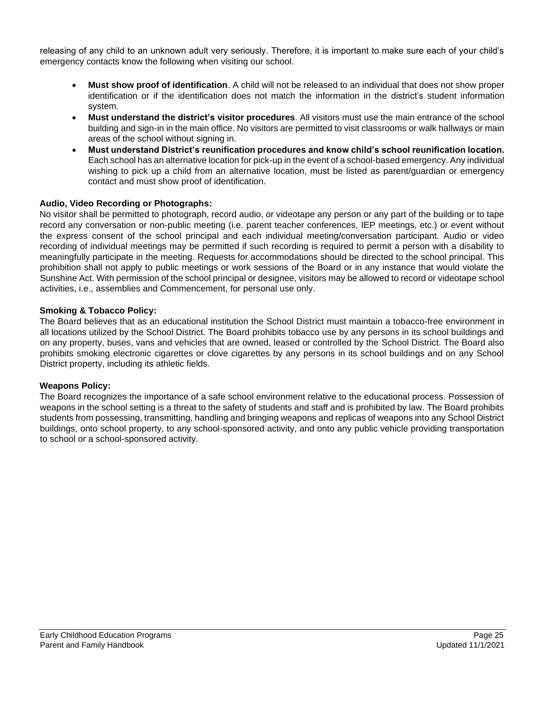releasing of any child to an unknown adult very seriously. Therefore, it is important to make sure each of your child's emergency contacts know the following when visiting our school.

- **Must show proof of identification**. A child will not be released to an individual that does not show proper identification or if the identification does not match the information in the district's student information system.
- **Must understand the district's visitor procedures**. All visitors must use the main entrance of the school building and sign-in in the main office. No visitors are permitted to visit classrooms or walk hallways or main areas of the school without signing in.
- **Must understand District's reunification procedures and know child's school reunification location.**  Each school has an alternative location for pick-up in the event of a school-based emergency. Any individual wishing to pick up a child from an alternative location, must be listed as parent/guardian or emergency contact and must show proof of identification.

# **Audio, Video Recording or Photographs:**

No visitor shall be permitted to photograph, record audio, or videotape any person or any part of the building or to tape record any conversation or non-public meeting (i.e. parent teacher conferences, IEP meetings, etc.) or event without the express consent of the school principal and each individual meeting/conversation participant. Audio or video recording of individual meetings may be permitted if such recording is required to permit a person with a disability to meaningfully participate in the meeting. Requests for accommodations should be directed to the school principal. This prohibition shall not apply to public meetings or work sessions of the Board or in any instance that would violate the Sunshine Act. With permission of the school principal or designee, visitors may be allowed to record or videotape school activities, i.e., assemblies and Commencement, for personal use only.

#### **Smoking & Tobacco Policy:**

The Board believes that as an educational institution the School District must maintain a tobacco-free environment in all locations utilized by the School District. The Board prohibits tobacco use by any persons in its school buildings and on any property, buses, vans and vehicles that are owned, leased or controlled by the School District. The Board also prohibits smoking electronic cigarettes or clove cigarettes by any persons in its school buildings and on any School District property, including its athletic fields.

#### **Weapons Policy:**

The Board recognizes the importance of a safe school environment relative to the educational process. Possession of weapons in the school setting is a threat to the safety of students and staff and is prohibited by law. The Board prohibits students from possessing, transmitting, handling and bringing weapons and replicas of weapons into any School District buildings, onto school property, to any school-sponsored activity, and onto any public vehicle providing transportation to school or a school-sponsored activity.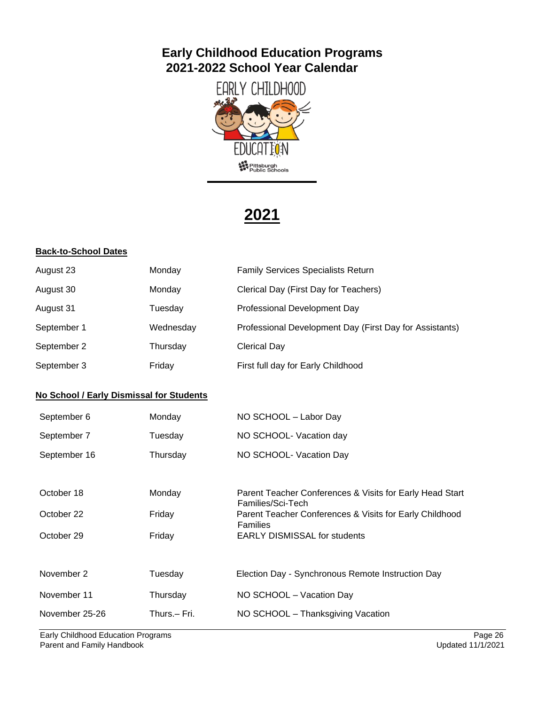# **Early Childhood Education Programs 2021-2022 School Year Calendar**



# **2021**

# **Back-to-School Dates**

| Monday                                   | <b>Family Services Specialists Return</b>                                     |
|------------------------------------------|-------------------------------------------------------------------------------|
| Monday                                   | Clerical Day (First Day for Teachers)                                         |
| Tuesday                                  | Professional Development Day                                                  |
| Wednesday                                | Professional Development Day (First Day for Assistants)                       |
| Thursday                                 | <b>Clerical Day</b>                                                           |
| Friday                                   | First full day for Early Childhood                                            |
| No School / Early Dismissal for Students |                                                                               |
| Monday                                   | NO SCHOOL - Labor Day                                                         |
| Tuesday                                  | NO SCHOOL- Vacation day                                                       |
| Thursday                                 | NO SCHOOL- Vacation Day                                                       |
|                                          |                                                                               |
| Monday                                   | Parent Teacher Conferences & Visits for Early Head Start<br>Families/Sci-Tech |
| Friday                                   | Parent Teacher Conferences & Visits for Early Childhood<br><b>Families</b>    |
| Friday                                   | <b>EARLY DISMISSAL for students</b>                                           |
|                                          |                                                                               |
| Tuesday                                  | Election Day - Synchronous Remote Instruction Day                             |
| Thursday                                 | NO SCHOOL - Vacation Day                                                      |
| Thurs.- Fri.                             | NO SCHOOL - Thanksgiving Vacation                                             |
|                                          |                                                                               |

Early Childhood Education Programs Page 26<br>
Parent and Family Handbook Burnet and Samily Handbook Burnet and Family Handbook Burnet and Family Handbook Burnet and Family Handbook Burnet and Family Handbook Burnet and Famil Parent and Family Handbook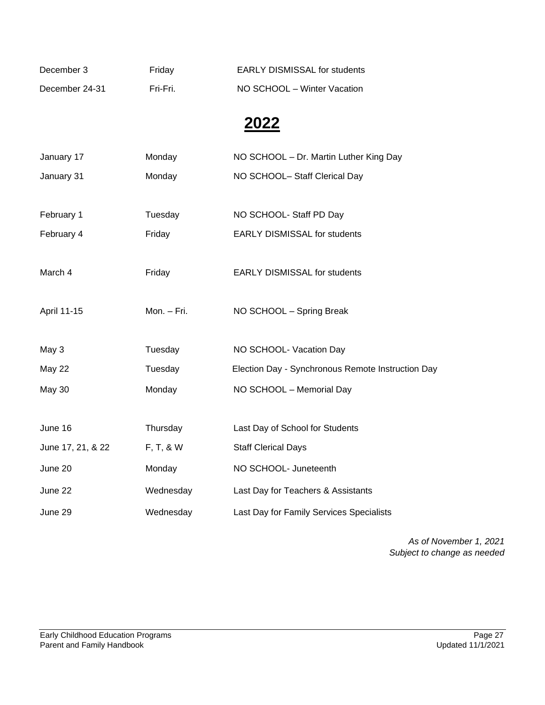| December 3     | Friday   | <b>EARLY DISMISSAL for students</b> |
|----------------|----------|-------------------------------------|
| December 24-31 | Fri-Fri. | NO SCHOOL – Winter Vacation         |

# **2022**

| January 17        | Monday      | NO SCHOOL - Dr. Martin Luther King Day            |
|-------------------|-------------|---------------------------------------------------|
| January 31        | Monday      | NO SCHOOL- Staff Clerical Day                     |
|                   |             |                                                   |
| February 1        | Tuesday     | NO SCHOOL- Staff PD Day                           |
| February 4        | Friday      | <b>EARLY DISMISSAL for students</b>               |
|                   |             |                                                   |
| March 4           | Friday      | <b>EARLY DISMISSAL for students</b>               |
|                   |             |                                                   |
| April 11-15       | Mon. - Fri. | NO SCHOOL - Spring Break                          |
|                   |             |                                                   |
| May 3             | Tuesday     | NO SCHOOL- Vacation Day                           |
| May 22            | Tuesday     | Election Day - Synchronous Remote Instruction Day |
| <b>May 30</b>     | Monday      | NO SCHOOL - Memorial Day                          |
|                   |             |                                                   |
| June 16           | Thursday    | Last Day of School for Students                   |
| June 17, 21, & 22 | F, T, & W   | <b>Staff Clerical Days</b>                        |
| June 20           | Monday      | NO SCHOOL- Juneteenth                             |
|                   |             |                                                   |
| June 22           | Wednesday   | Last Day for Teachers & Assistants                |

*As of November 1, 2021 Subject to change as needed*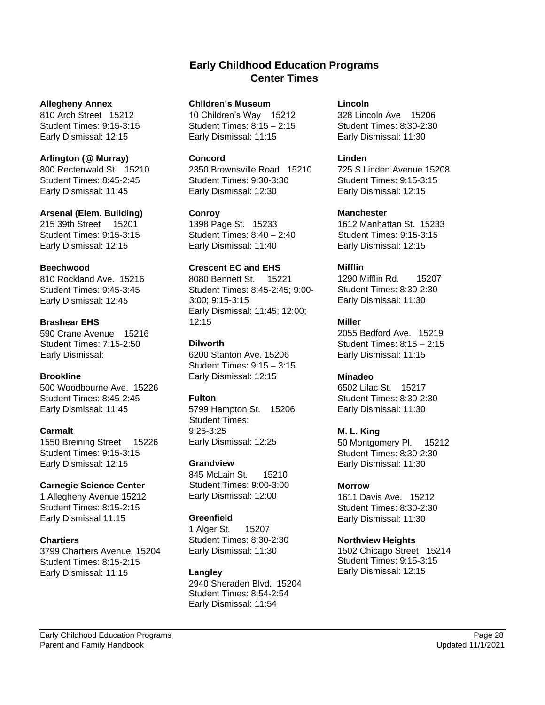# **Early Childhood Education Programs Center Times**

#### **Allegheny Annex**

810 Arch Street 15212 Student Times: 9:15-3:15 Early Dismissal: 12:15

# **Arlington (@ Murray)**

800 Rectenwald St. 15210 Student Times: 8:45-2:45 Early Dismissal: 11:45

#### **Arsenal (Elem. Building)**

215 39th Street 15201 Student Times: 9:15-3:15 Early Dismissal: 12:15

#### **Beechwood**

810 Rockland Ave. 15216 Student Times: 9:45-3:45 Early Dismissal: 12:45

# **Brashear EHS**

590 Crane Avenue 15216 Student Times: 7:15-2:50 Early Dismissal:

# **Brookline**

500 Woodbourne Ave. 15226 Student Times: 8:45-2:45 Early Dismissal: 11:45

# **Carmalt**

1550 Breining Street 15226 Student Times: 9:15-3:15 Early Dismissal: 12:15

# **Carnegie Science Center**

1 Allegheny Avenue 15212 Student Times: 8:15-2:15 Early Dismissal 11:15

# **Chartiers**

3799 Chartiers Avenue 15204 Student Times: 8:15-2:15 Early Dismissal: 11:15

#### **Children's Museum**

10 Children's Way 15212 Student Times: 8:15 – 2:15 Early Dismissal: 11:15

#### **Concord**

2350 Brownsville Road 15210 Student Times: 9:30-3:30 Early Dismissal: 12:30

# **Conroy**

1398 Page St. 15233 Student Times: 8:40 – 2:40 Early Dismissal: 11:40

# **Crescent EC and EHS**

8080 Bennett St. 15221 Student Times: 8:45-2:45; 9:00- 3:00; 9:15-3:15 Early Dismissal: 11:45; 12:00; 12:15

#### **Dilworth**

6200 Stanton Ave. 15206 Student Times: 9:15 – 3:15 Early Dismissal: 12:15

# **Fulton**

5799 Hampton St. 15206 Student Times: 9:25-3:25 Early Dismissal: 12:25

#### **Grandview**

845 McLain St. 15210 Student Times: 9:00-3:00 Early Dismissal: 12:00

# **Greenfield**

1 Alger St. 15207 Student Times: 8:30-2:30 Early Dismissal: 11:30

# **Langley**

2940 Sheraden Blvd. 15204 Student Times: 8:54-2:54 Early Dismissal: 11:54

#### **Lincoln**

328 Lincoln Ave 15206 Student Times: 8:30-2:30 Early Dismissal: 11:30

#### **Linden**

725 S Linden Avenue 15208 Student Times: 9:15-3:15 Early Dismissal: 12:15

# **Manchester**

1612 Manhattan St. 15233 Student Times: 9:15-3:15 Early Dismissal: 12:15

# **Mifflin**

1290 Mifflin Rd. 15207 Student Times: 8:30-2:30 Early Dismissal: 11:30

# **Miller**

2055 Bedford Ave. 15219 Student Times: 8:15 – 2:15 Early Dismissal: 11:15

# **Minadeo**

6502 Lilac St. 15217 Student Times: 8:30-2:30 Early Dismissal: 11:30

# **M. L. King**

50 Montgomery Pl. 15212 Student Times: 8:30-2:30 Early Dismissal: 11:30

# **Morrow**

1611 Davis Ave. 15212 Student Times: 8:30-2:30 Early Dismissal: 11:30

# **Northview Heights**

1502 Chicago Street 15214 Student Times: 9:15-3:15 Early Dismissal: 12:15